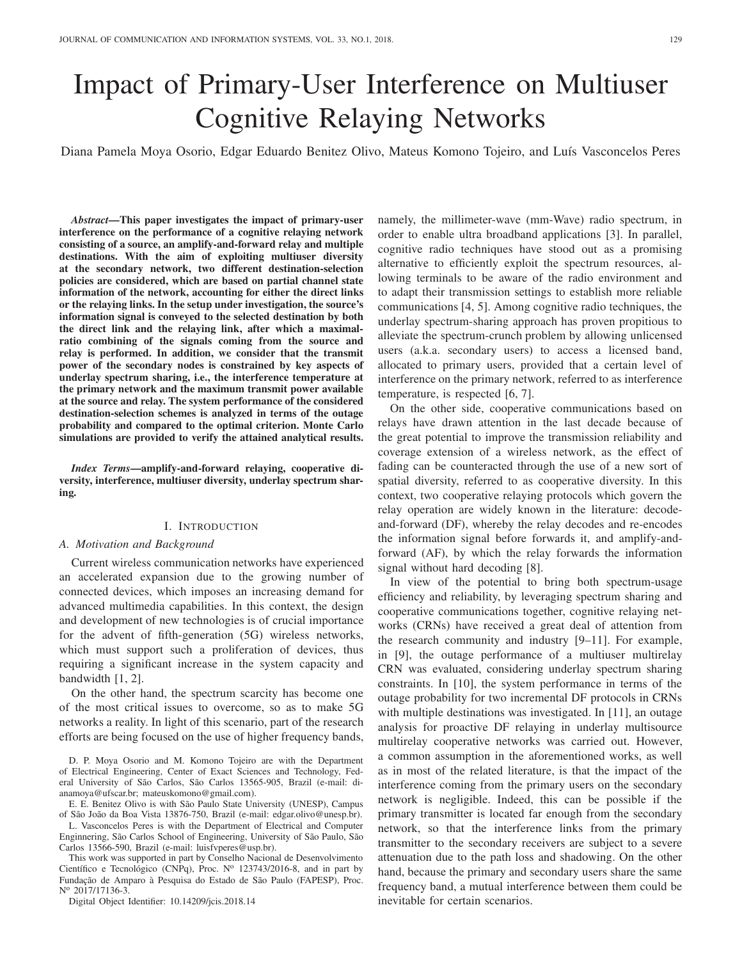# Impact of Primary-User Interference on Multiuser Cognitive Relaying Networks

Diana Pamela Moya Osorio, Edgar Eduardo Benitez Olivo, Mateus Komono Tojeiro, and Luís Vasconcelos Peres

*Abstract***—This paper investigates the impact of primary-user interference on the performance of a cognitive relaying network consisting of a source, an amplify-and-forward relay and multiple destinations. With the aim of exploiting multiuser diversity at the secondary network, two different destination-selection policies are considered, which are based on partial channel state information of the network, accounting for either the direct links or the relaying links. In the setup under investigation, the source's information signal is conveyed to the selected destination by both the direct link and the relaying link, after which a maximalratio combining of the signals coming from the source and relay is performed. In addition, we consider that the transmit power of the secondary nodes is constrained by key aspects of underlay spectrum sharing, i.e., the interference temperature at the primary network and the maximum transmit power available at the source and relay. The system performance of the considered destination-selection schemes is analyzed in terms of the outage probability and compared to the optimal criterion. Monte Carlo simulations are provided to verify the attained analytical results.**

*Index Terms***—amplify-and-forward relaying, cooperative diversity, interference, multiuser diversity, underlay spectrum sharing.**

# I. INTRODUCTION

# *A. Motivation and Background*

Current wireless communication networks have experienced an accelerated expansion due to the growing number of connected devices, which imposes an increasing demand for advanced multimedia capabilities. In this context, the design and development of new technologies is of crucial importance for the advent of fifth-generation (5G) wireless networks, which must support such a proliferation of devices, thus requiring a significant increase in the system capacity and bandwidth [1, 2].

On the other hand, the spectrum scarcity has become one of the most critical issues to overcome, so as to make 5G networks a reality. In light of this scenario, part of the research efforts are being focused on the use of higher frequency bands,

D. P. Moya Osorio and M. Komono Tojeiro are with the Department of Electrical Engineering, Center of Exact Sciences and Technology, Federal University of São Carlos, São Carlos 13565-905, Brazil (e-mail: dianamoya@ufscar.br; mateuskomono@gmail.com).

E. E. Benitez Olivo is with São Paulo State University (UNESP), Campus of São João da Boa Vista 13876-750, Brazil (e-mail: edgar.olivo@unesp.br).

L. Vasconcelos Peres is with the Department of Electrical and Computer Enginnering, São Carlos School of Engineering, University of São Paulo, São Carlos 13566-590, Brazil (e-mail: luisfvperes@usp.br).

This work was supported in part by Conselho Nacional de Desenvolvimento Científico e Tecnológico (CNPq), Proc. Nº 123743/2016-8, and in part by Fundação de Amparo à Pesquisa do Estado de São Paulo (FAPESP), Proc. N<sup>o</sup> 2017/17136-3.

Digital Object Identifier: 10.14209/jcis.2018.14

namely, the millimeter-wave (mm-Wave) radio spectrum, in order to enable ultra broadband applications [3]. In parallel, cognitive radio techniques have stood out as a promising alternative to efficiently exploit the spectrum resources, allowing terminals to be aware of the radio environment and to adapt their transmission settings to establish more reliable communications [4, 5]. Among cognitive radio techniques, the underlay spectrum-sharing approach has proven propitious to alleviate the spectrum-crunch problem by allowing unlicensed users (a.k.a. secondary users) to access a licensed band, allocated to primary users, provided that a certain level of interference on the primary network, referred to as interference temperature, is respected [6, 7].

On the other side, cooperative communications based on relays have drawn attention in the last decade because of the great potential to improve the transmission reliability and coverage extension of a wireless network, as the effect of fading can be counteracted through the use of a new sort of spatial diversity, referred to as cooperative diversity. In this context, two cooperative relaying protocols which govern the relay operation are widely known in the literature: decodeand-forward (DF), whereby the relay decodes and re-encodes the information signal before forwards it, and amplify-andforward (AF), by which the relay forwards the information signal without hard decoding [8].

In view of the potential to bring both spectrum-usage efficiency and reliability, by leveraging spectrum sharing and cooperative communications together, cognitive relaying networks (CRNs) have received a great deal of attention from the research community and industry [9–11]. For example, in [9], the outage performance of a multiuser multirelay CRN was evaluated, considering underlay spectrum sharing constraints. In [10], the system performance in terms of the outage probability for two incremental DF protocols in CRNs with multiple destinations was investigated. In [11], an outage analysis for proactive DF relaying in underlay multisource multirelay cooperative networks was carried out. However, a common assumption in the aforementioned works, as well as in most of the related literature, is that the impact of the interference coming from the primary users on the secondary network is negligible. Indeed, this can be possible if the primary transmitter is located far enough from the secondary network, so that the interference links from the primary transmitter to the secondary receivers are subject to a severe attenuation due to the path loss and shadowing. On the other hand, because the primary and secondary users share the same frequency band, a mutual interference between them could be inevitable for certain scenarios.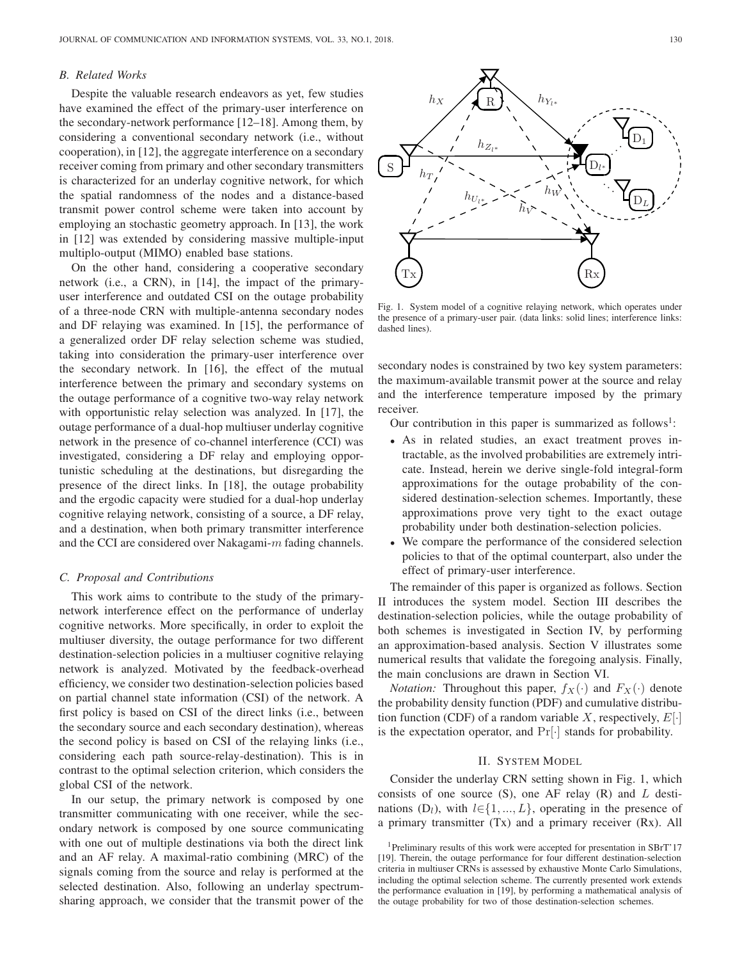# *B. Related Works*

Despite the valuable research endeavors as yet, few studies have examined the effect of the primary-user interference on the secondary-network performance [12–18]. Among them, by considering a conventional secondary network (i.e., without cooperation), in [12], the aggregate interference on a secondary receiver coming from primary and other secondary transmitters is characterized for an underlay cognitive network, for which the spatial randomness of the nodes and a distance-based transmit power control scheme were taken into account by employing an stochastic geometry approach. In [13], the work in [12] was extended by considering massive multiple-input multiplo-output (MIMO) enabled base stations.

On the other hand, considering a cooperative secondary network (i.e., a CRN), in [14], the impact of the primaryuser interference and outdated CSI on the outage probability of a three-node CRN with multiple-antenna secondary nodes and DF relaying was examined. In [15], the performance of a generalized order DF relay selection scheme was studied, taking into consideration the primary-user interference over the secondary network. In [16], the effect of the mutual interference between the primary and secondary systems on the outage performance of a cognitive two-way relay network with opportunistic relay selection was analyzed. In [17], the outage performance of a dual-hop multiuser underlay cognitive network in the presence of co-channel interference (CCI) was investigated, considering a DF relay and employing opportunistic scheduling at the destinations, but disregarding the presence of the direct links. In [18], the outage probability and the ergodic capacity were studied for a dual-hop underlay cognitive relaying network, consisting of a source, a DF relay, and a destination, when both primary transmitter interference and the CCI are considered over Nakagami-m fading channels.

# *C. Proposal and Contributions*

This work aims to contribute to the study of the primarynetwork interference effect on the performance of underlay cognitive networks. More specifically, in order to exploit the multiuser diversity, the outage performance for two different destination-selection policies in a multiuser cognitive relaying network is analyzed. Motivated by the feedback-overhead efficiency, we consider two destination-selection policies based on partial channel state information (CSI) of the network. A first policy is based on CSI of the direct links (i.e., between the secondary source and each secondary destination), whereas the second policy is based on CSI of the relaying links (i.e., considering each path source-relay-destination). This is in contrast to the optimal selection criterion, which considers the global CSI of the network.

In our setup, the primary network is composed by one transmitter communicating with one receiver, while the secondary network is composed by one source communicating with one out of multiple destinations via both the direct link and an AF relay. A maximal-ratio combining (MRC) of the signals coming from the source and relay is performed at the selected destination. Also, following an underlay spectrumsharing approach, we consider that the transmit power of the



Fig. 1. System model of a cognitive relaying network, which operates under the presence of a primary-user pair. (data links: solid lines; interference links: dashed lines).

secondary nodes is constrained by two key system parameters: the maximum-available transmit power at the source and relay and the interference temperature imposed by the primary receiver.

Our contribution in this paper is summarized as follows<sup>1</sup>:

- As in related studies, an exact treatment proves intractable, as the involved probabilities are extremely intricate. Instead, herein we derive single-fold integral-form approximations for the outage probability of the considered destination-selection schemes. Importantly, these approximations prove very tight to the exact outage probability under both destination-selection policies.
- We compare the performance of the considered selection policies to that of the optimal counterpart, also under the effect of primary-user interference.

The remainder of this paper is organized as follows. Section II introduces the system model. Section III describes the destination-selection policies, while the outage probability of both schemes is investigated in Section IV, by performing an approximation-based analysis. Section V illustrates some numerical results that validate the foregoing analysis. Finally, the main conclusions are drawn in Section VI.

*Notation:* Throughout this paper,  $f_X(\cdot)$  and  $F_X(\cdot)$  denote the probability density function (PDF) and cumulative distribution function (CDF) of a random variable X, respectively,  $E[\cdot]$ is the expectation operator, and  $Pr[\cdot]$  stands for probability.

# II. SYSTEM MODEL

Consider the underlay CRN setting shown in Fig. 1, which consists of one source  $(S)$ , one AF relay  $(R)$  and  $L$  destinations  $(D_l)$ , with  $l \in \{1, ..., L\}$ , operating in the presence of a primary transmitter (Tx) and a primary receiver (Rx). All

<sup>&</sup>lt;sup>1</sup>Preliminary results of this work were accepted for presentation in SBrT'17 [19]. Therein, the outage performance for four different destination-selection criteria in multiuser CRNs is assessed by exhaustive Monte Carlo Simulations, including the optimal selection scheme. The currently presented work extends the performance evaluation in [19], by performing a mathematical analysis of the outage probability for two of those destination-selection schemes.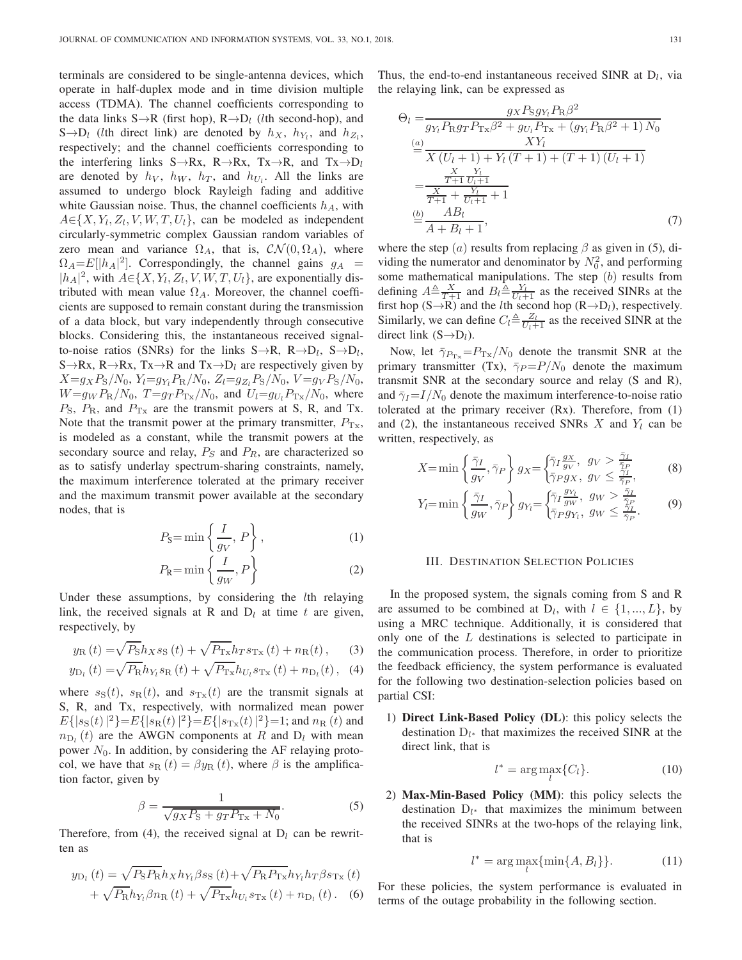terminals are considered to be single-antenna devices, which operate in half-duplex mode and in time division multiple access (TDMA). The channel coefficients corresponding to the data links  $S \rightarrow R$  (first hop),  $R \rightarrow D_l$  (*l*th second-hop), and S $\rightarrow$ D<sub>l</sub> (lth direct link) are denoted by  $h_X$ ,  $h_{Y_i}$ , and  $h_{Z_i}$ , respectively; and the channel coefficients corresponding to the interfering links  $S \rightarrow Rx$ ,  $R \rightarrow Rx$ ,  $Tx \rightarrow R$ , and  $Tx \rightarrow D_l$ are denoted by  $h_V$ ,  $h_W$ ,  $h_T$ , and  $h_{U_l}$ . All the links are assumed to undergo block Rayleigh fading and additive white Gaussian noise. Thus, the channel coefficients  $h_A$ , with  $A \in \{X, Y_l, Z_l, V, W, T, U_l\}$ , can be modeled as independent circularly-symmetric complex Gaussian random variables of zero mean and variance  $\Omega_A$ , that is,  $\mathcal{CN}(0, \Omega_A)$ , where  $\Omega_A = E[|h_A|^2]$ . Correspondingly, the channel gains  $g_A$  =  $|h_A|^2$ , with  $A \in \{X, Y_l, Z_l, V, W, T, U_l\}$ , are exponentially distributed with mean value  $\Omega_A$ . Moreover, the channel coefficients are supposed to remain constant during the transmission of a data block, but vary independently through consecutive blocks. Considering this, the instantaneous received signalto-noise ratios (SNRs) for the links  $S \rightarrow R$ ,  $R \rightarrow D_l$ ,  $S \rightarrow D_l$ , S $\rightarrow$ Rx, R $\rightarrow$ Rx, Tx $\rightarrow$ R and Tx $\rightarrow$ D<sub>l</sub> are respectively given by  $X=g_{X}P_{S}/N_{0}, Y_{l}=g_{Y_{l}}P_{R}/N_{0}, Z_{l}=g_{Z_{l}}P_{S}/N_{0}, V=g_{V}P_{S}/N_{0},$  $W=g_W P_R/N_0$ ,  $T=g_T P_{Tx}/N_0$ , and  $U_l=g_{U_l} P_{Tx}/N_0$ , where  $P_{\rm S}$ ,  $P_{\rm R}$ , and  $P_{\rm Tx}$  are the transmit powers at S, R, and Tx. Note that the transmit power at the primary transmitter,  $P_{Tx}$ , is modeled as a constant, while the transmit powers at the secondary source and relay,  $P_S$  and  $P_R$ , are characterized so as to satisfy underlay spectrum-sharing constraints, namely, the maximum interference tolerated at the primary receiver and the maximum transmit power available at the secondary nodes, that is

$$
P_{\rm S} = \min\left\{\frac{I}{g_V}, P\right\},\tag{1}
$$

$$
P_{\rm R} = \min\left\{\frac{I}{g_W}, P\right\} \tag{2}
$$

Under these assumptions, by considering the *lth* relaying link, the received signals at R and  $D_l$  at time t are given, respectively, by

$$
y_{\rm R}(t) = \sqrt{P_{\rm S}} h_X s_{\rm S}(t) + \sqrt{P_{\rm Tx}} h_T s_{\rm Tx}(t) + n_{\rm R}(t), \qquad (3)
$$

$$
y_{\text{D}_l}(t) = \sqrt{P_{\text{R}}} h_{Y_l} s_{\text{R}}(t) + \sqrt{P_{\text{Tx}}} h_{U_l} s_{\text{Tx}}(t) + n_{\text{D}_l}(t), \tag{4}
$$

where  $s_S(t)$ ,  $s_R(t)$ , and  $s_{T_x}(t)$  are the transmit signals at S, R, and Tx, respectively, with normalized mean power  $E\{ |s_{\rm S}(t)|^2 \} = E\{ |s_{\rm R}(t)|^2 \} = E\{ |s_{\rm Tx}(t)|^2 \} = 1$ ; and  $n_{\rm R}(t)$  and  $n_{\text{D}_l}(t)$  are the AWGN components at R and  $\text{D}_l$  with mean power  $N_0$ . In addition, by considering the AF relaying protocol, we have that  $s_{\text{R}}(t) = \beta y_{\text{R}}(t)$ , where  $\beta$  is the amplification factor, given by

$$
\beta = \frac{1}{\sqrt{gxP_{\rm S} + grP_{\rm Tx} + N_0}}.\tag{5}
$$

Therefore, from (4), the received signal at  $D_l$  can be rewritten as

$$
y_{\text{D}_l}(t) = \sqrt{P_{\text{S}} P_{\text{R}} h_X h_{Y_l} \beta s_{\text{S}}(t)} + \sqrt{P_{\text{R}} P_{\text{Tx}}} h_{Y_l} h_T \beta s_{\text{Tx}}(t) + \sqrt{P_{\text{R}} h_{Y_l} \beta n_{\text{R}}(t)} + \sqrt{P_{\text{Tx}}} h_{U_l} s_{\text{Tx}}(t) + n_{\text{D}_l}(t).
$$
 (6)

Thus, the end-to-end instantaneous received SINR at  $D_l$ , via the relaying link, can be expressed as

$$
\Theta_{l} = \frac{g_{X} P_{S} g_{Y_{l}} P_{R} \beta^{2}}{g_{Y_{l}} P_{R} g_{T} P_{Tx} \beta^{2} + g_{U_{l}} P_{Tx} + (g_{Y_{l}} P_{R} \beta^{2} + 1) N_{0}}
$$

$$
\stackrel{(a)}{=} \frac{XY_{l}}{X (U_{l} + 1) + Y_{l} (T + 1) + (T + 1) (U_{l} + 1)}
$$

$$
= \frac{\frac{X}{T+1} \frac{Y_{l}}{U_{l}+1}}{\frac{X}{T+1} + \frac{Y_{l}}{U_{l}+1} + 1}
$$

$$
\stackrel{(b)}{=} \frac{AB_{l}}{A + B_{l} + 1},
$$
(7)

where the step (a) results from replacing  $\beta$  as given in (5), dividing the numerator and denominator by  $N_0^2$ , and performing some mathematical manipulations. The step  $(b)$  results from defining  $A \triangleq \frac{X}{T+1}$  and  $B_l \triangleq \frac{Y_l}{U_l+1}$  as the received SINRs at the first hop (S→R) and the *l*th second hop (R→D<sub>l</sub>), respectively. Similarly, we can define  $C_l \triangleq \frac{Z_l}{U_l+1}$  as the received SINR at the direct link  $(S \rightarrow D_l)$ .

Now, let  $\bar{\gamma}_{P_{Tx}}=P_{Tx}/N_0$  denote the transmit SNR at the primary transmitter (Tx),  $\bar{\gamma}_P = P/N_0$  denote the maximum transmit SNR at the secondary source and relay (S and R), and  $\bar{\gamma}_I = I/N_0$  denote the maximum interference-to-noise ratio tolerated at the primary receiver (Rx). Therefore, from (1) and (2), the instantaneous received SNRs  $X$  and  $Y_l$  can be written, respectively, as

$$
X = \min\left\{\frac{\bar{\gamma}_I}{g_V}, \bar{\gamma}_P\right\} g_X = \begin{cases} \bar{\gamma}_I \frac{g_X}{g_V}, & g_V > \frac{\bar{\gamma}_I}{\bar{\gamma}_P},\\ \bar{\gamma}_P g_X, & g_V \le \frac{\bar{\gamma}_I}{\bar{\gamma}_P}, \end{cases} \tag{8}
$$

$$
Y_l = \min\left\{\frac{\bar{\gamma}_I}{g_W}, \bar{\gamma}_P\right\} g_{Y_l} = \begin{cases} \bar{\gamma}_I \frac{g_{Y_l}}{g_W}, & g_W > \frac{\bar{\gamma}_I}{\bar{\gamma}_P}, \\ \bar{\gamma}_P g_{Y_l}, & g_W \le \frac{\bar{\gamma}_I}{\bar{\gamma}_P}. \end{cases} \tag{9}
$$

#### III. DESTINATION SELECTION POLICIES

In the proposed system, the signals coming from S and R are assumed to be combined at  $D_l$ , with  $l \in \{1, ..., L\}$ , by using a MRC technique. Additionally, it is considered that only one of the L destinations is selected to participate in the communication process. Therefore, in order to prioritize the feedback efficiency, the system performance is evaluated for the following two destination-selection policies based on partial CSI:

1) **Direct Link-Based Policy (DL)**: this policy selects the destination  $D_{l^*}$  that maximizes the received SINR at the direct link, that is

$$
l^* = \arg\max_{l} \{C_l\}.
$$
 (10)

2) **Max-Min-Based Policy (MM)**: this policy selects the destination  $D_{l^*}$  that maximizes the minimum between the received SINRs at the two-hops of the relaying link, that is

$$
l^* = \arg\max_{l} \{\min\{A, B_l\}\}.
$$
 (11)

For these policies, the system performance is evaluated in terms of the outage probability in the following section.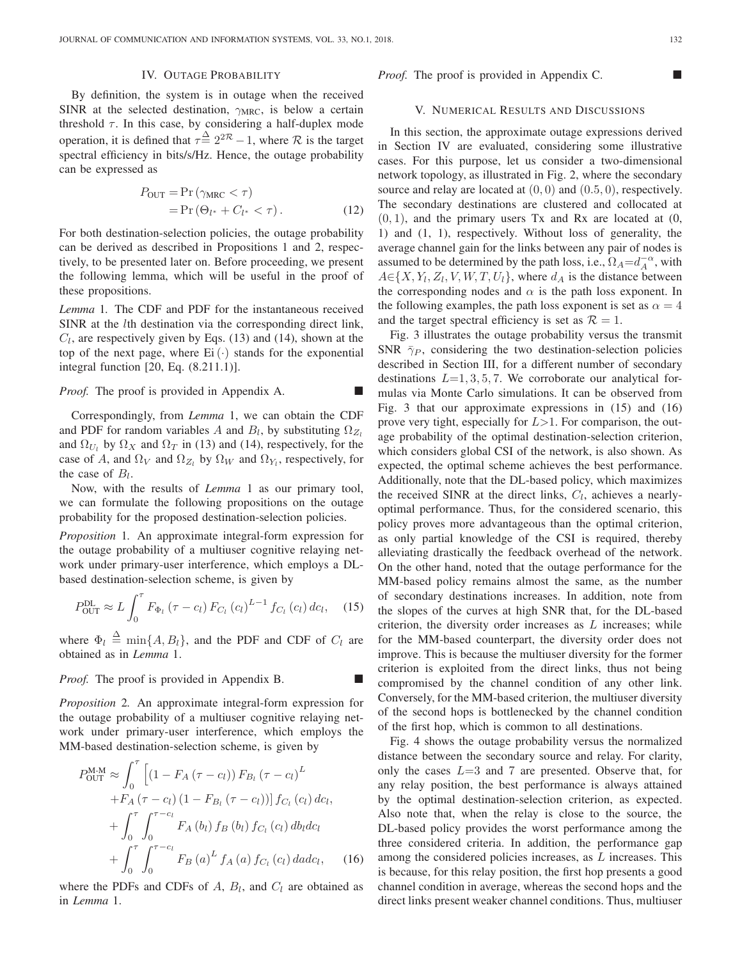## IV. OUTAGE PROBABILITY

By definition, the system is in outage when the received SINR at the selected destination,  $\gamma_{MRC}$ , is below a certain threshold  $\tau$ . In this case, by considering a half-duplex mode operation, it is defined that  $\tau \triangleq 2^{2\mathcal{R}} - 1$ , where  $\mathcal{R}$  is the target spectral efficiency in bits/s/Hz. Hence, the outage probability can be expressed as

$$
P_{\text{OUT}} = \Pr\left(\gamma_{\text{MRC}} < \tau\right) \\
= \Pr\left(\Theta_{l^*} + C_{l^*} < \tau\right). \tag{12}
$$

For both destination-selection policies, the outage probability can be derived as described in Propositions 1 and 2, respectively, to be presented later on. Before proceeding, we present the following lemma, which will be useful in the proof of these propositions.

*Lemma* 1*.* The CDF and PDF for the instantaneous received SINR at the lth destination via the corresponding direct link,  $C_l$ , are respectively given by Eqs. (13) and (14), shown at the top of the next page, where  $Ei(\cdot)$  stands for the exponential integral function [20, Eq. (8.211.1)].

*Proof.* The proof is provided in Appendix A.

Correspondingly, from *Lemma* 1, we can obtain the CDF and PDF for random variables A and  $B_l$ , by substituting  $\Omega_{Z_l}$ and  $\Omega_{U_l}$  by  $\Omega_X$  and  $\Omega_T$  in (13) and (14), respectively, for the case of A, and  $\Omega_V$  and  $\Omega_{Z_l}$  by  $\Omega_W$  and  $\Omega_{Y_l}$ , respectively, for the case of  $B_l$ .

Now, with the results of *Lemma* 1 as our primary tool, we can formulate the following propositions on the outage probability for the proposed destination-selection policies.

*Proposition* 1*.* An approximate integral-form expression for the outage probability of a multiuser cognitive relaying network under primary-user interference, which employs a DLbased destination-selection scheme, is given by

$$
P_{\text{OUT}}^{\text{DL}} \approx L \int_0^{\tau} F_{\Phi_l} \left( \tau - c_l \right) F_{C_l} \left( c_l \right)^{L-1} f_{C_l} \left( c_l \right) dc_l, \quad (15)
$$

where  $\Phi_l \triangleq \min\{A, B_l\}$ , and the PDF and CDF of  $C_l$  are obtained as in *Lemma* 1.

*Proof.* The proof is provided in Appendix B.

*Proposition* 2*.* An approximate integral-form expression for the outage probability of a multiuser cognitive relaying network under primary-user interference, which employs the MM-based destination-selection scheme, is given by

$$
P_{\text{OUT}}^{\text{M-M}} \approx \int_0^{\tau} \left[ (1 - F_A (\tau - c_l)) F_{B_l} (\tau - c_l)^L + F_A (\tau - c_l) (1 - F_{B_l} (\tau - c_l)) \right] f_{C_l} (c_l) dc_l,
$$
  
+ 
$$
\int_0^{\tau} \int_0^{\tau - c_l} F_A (b_l) f_B (b_l) f_{C_l} (c_l) db_l dc_l + \int_0^{\tau} \int_0^{\tau - c_l} F_B (a)^L f_A (a) f_{C_l} (c_l) dadc_l, \quad (16)
$$

where the PDFs and CDFs of  $A$ ,  $B<sub>l</sub>$ , and  $C<sub>l</sub>$  are obtained as in *Lemma* 1.

#### *Proof.* The proof is provided in Appendix C. ■

#### V. NUMERICAL RESULTS AND DISCUSSIONS

In this section, the approximate outage expressions derived in Section IV are evaluated, considering some illustrative cases. For this purpose, let us consider a two-dimensional network topology, as illustrated in Fig. 2, where the secondary source and relay are located at  $(0, 0)$  and  $(0.5, 0)$ , respectively. The secondary destinations are clustered and collocated at  $(0, 1)$ , and the primary users Tx and Rx are located at  $(0, 1)$ 1) and (1, 1), respectively. Without loss of generality, the average channel gain for the links between any pair of nodes is assumed to be determined by the path loss, i.e.,  $\Omega_A = d_A^{-\alpha}$ , with  $A \in \{X, Y_l, Z_l, V, W, T, U_l\}$ , where  $d_A$  is the distance between the corresponding nodes and  $\alpha$  is the path loss exponent. In the following examples, the path loss exponent is set as  $\alpha = 4$ and the target spectral efficiency is set as  $\mathcal{R} = 1$ .

Fig. 3 illustrates the outage probability versus the transmit SNR  $\bar{\gamma}_P$ , considering the two destination-selection policies described in Section III, for a different number of secondary destinations  $L=1, 3, 5, 7$ . We corroborate our analytical formulas via Monte Carlo simulations. It can be observed from Fig. 3 that our approximate expressions in (15) and (16) prove very tight, especially for  $L>1$ . For comparison, the outage probability of the optimal destination-selection criterion, which considers global CSI of the network, is also shown. As expected, the optimal scheme achieves the best performance. Additionally, note that the DL-based policy, which maximizes the received SINR at the direct links,  $C_l$ , achieves a nearlyoptimal performance. Thus, for the considered scenario, this policy proves more advantageous than the optimal criterion, as only partial knowledge of the CSI is required, thereby alleviating drastically the feedback overhead of the network. On the other hand, noted that the outage performance for the MM-based policy remains almost the same, as the number of secondary destinations increases. In addition, note from the slopes of the curves at high SNR that, for the DL-based criterion, the diversity order increases as  $L$  increases; while for the MM-based counterpart, the diversity order does not improve. This is because the multiuser diversity for the former criterion is exploited from the direct links, thus not being compromised by the channel condition of any other link. Conversely, for the MM-based criterion, the multiuser diversity of the second hops is bottlenecked by the channel condition of the first hop, which is common to all destinations.

Fig. 4 shows the outage probability versus the normalized distance between the secondary source and relay. For clarity, only the cases  $L=3$  and 7 are presented. Observe that, for any relay position, the best performance is always attained by the optimal destination-selection criterion, as expected. Also note that, when the relay is close to the source, the DL-based policy provides the worst performance among the three considered criteria. In addition, the performance gap among the considered policies increases, as L increases. This is because, for this relay position, the first hop presents a good channel condition in average, whereas the second hops and the direct links present weaker channel conditions. Thus, multiuser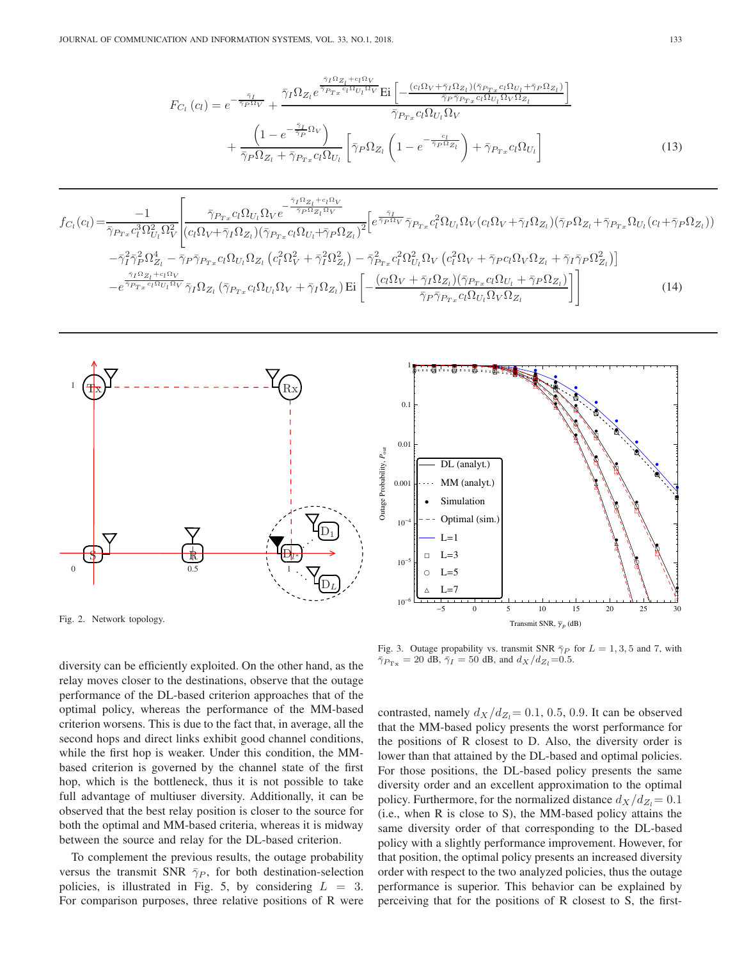$$
F_{C_l}(c_l) = e^{-\frac{\tilde{\gamma}_I}{\tilde{\gamma}_P \Omega_V}} + \frac{\bar{\gamma}_I \Omega_{Z_l} e^{\frac{\tilde{\gamma}_I \Omega_{Z_l} + c_l \Omega_V}{\tilde{\gamma}_{P_{Tx}} c_l \Omega_{U_l} \Omega_V}} \text{Ei}\left[ -\frac{(c_l \Omega_V + \tilde{\gamma}_I \Omega_{Z_l})(\tilde{\gamma}_{P_{Tx}} c_l \Omega_{U_l} + \tilde{\gamma}_P \Omega_{Z_l})}{\tilde{\gamma}_{P_{Tx}} c_l \Omega_{U_l} \Omega_V \Omega_{Z_l}} \right]}{\tilde{\gamma}_{P_{Tx}} c_l \Omega_{U_l} \Omega_V}
$$

$$
+ \frac{\left(1 - e^{-\frac{\tilde{\gamma}_I}{\tilde{\gamma}_P} \Omega_V}\right)}{\tilde{\gamma}_P \Omega_{Z_l} + \tilde{\gamma}_{P_{Tx}} c_l \Omega_{U_l}} \left[ \tilde{\gamma}_P \Omega_{Z_l} \left(1 - e^{-\frac{c_l}{\tilde{\gamma}_P \Omega_{Z_l}}}\right) + \tilde{\gamma}_{P_{Tx}} c_l \Omega_{U_l} \right] \tag{13}
$$

$$
f_{C_l}(c_l) = \frac{-1}{\overline{\gamma}_{P_{Tx}}c_l^3 \Omega_{U_l}^2 \Omega_V^2} \left[ \frac{\overline{\gamma}_{P_{Tx}}c_l \Omega_{U_l} \Omega_V e^{-\frac{\overline{\gamma}_I \Omega_{Z_l} + c_l \Omega_V}{\overline{\gamma}_P \Omega_{Z_l} \Omega_V}}}{(c_l \Omega_V + \overline{\gamma}_I \Omega_{Z_l})(\overline{\gamma}_{P_{Tx}}c_l \Omega_{U_l} + \overline{\gamma}_P \Omega_{Z_l})^2} \left[ e^{\frac{\overline{\gamma}_I}{\overline{\gamma}_P \Omega_V}} \overline{\gamma}_{P_{Tx}}c_l^2 \Omega_{U_l} \Omega_V (c_l \Omega_V + \overline{\gamma}_I \Omega_{Z_l})(\overline{\gamma}_P \Omega_{Z_l} + \overline{\gamma}_{P_{Tx}} \Omega_{U_l} (c_l + \overline{\gamma}_P \Omega_{Z_l})) \right] - \overline{\gamma}_I^2 \overline{\gamma}_P^2 \Omega_{Z_l}^4 - \overline{\gamma}_P \overline{\gamma}_{P_{Tx}}c_l \Omega_{U_l} \Omega_{Z_l} (c_l^2 \Omega_V^2 + \overline{\gamma}_I^2 \Omega_{Z_l}^2) - \overline{\gamma}_{P_{Tx}}^2 c_l^2 \Omega_{U_l}^2 \Omega_V (c_l^2 \Omega_V + \overline{\gamma}_P c_l \Omega_V \Omega_{Z_l} + \overline{\gamma}_I \overline{\gamma}_P \Omega_{Z_l}^2) \right]
$$
\n
$$
- e^{\frac{\overline{\gamma}_I \Omega_{Z_l} + c_l \Omega_V}{\overline{\gamma}_{P_{Tx}}c_l \Omega_{U_l} \Omega_V}} \overline{\gamma}_I \Omega_{Z_l} (\overline{\gamma}_{P_{Tx}}c_l \Omega_{U_l} \Omega_V + \overline{\gamma}_I \Omega_{Z_l}) \text{Ei} \left[ -\frac{(c_l \Omega_V + \overline{\gamma}_I \Omega_{Z_l})(\overline{\gamma}_{P_{Tx}}c_l \Omega_{U_l} + \overline{\gamma}_P \Omega_{Z_l})}{\overline{\gamma}_P \overline{\gamma}_{P_{Tx}}c_l \Omega_{U_l} \Omega_V \Omega_{Z_l}} \right] \right]
$$
\n(14)



Fig. 2. Network topology.

diversity can be efficiently exploited. On the other hand, as the relay moves closer to the destinations, observe that the outage performance of the DL-based criterion approaches that of the optimal policy, whereas the performance of the MM-based criterion worsens. This is due to the fact that, in average, all the second hops and direct links exhibit good channel conditions, while the first hop is weaker. Under this condition, the MMbased criterion is governed by the channel state of the first hop, which is the bottleneck, thus it is not possible to take full advantage of multiuser diversity. Additionally, it can be observed that the best relay position is closer to the source for both the optimal and MM-based criteria, whereas it is midway between the source and relay for the DL-based criterion.

To complement the previous results, the outage probability versus the transmit SNR  $\bar{\gamma}_P$ , for both destination-selection policies, is illustrated in Fig. 5, by considering  $L = 3$ . For comparison purposes, three relative positions of R were



Fig. 3. Outage propability vs. transmit SNR  $\bar{\gamma}_P$  for  $L = 1, 3, 5$  and 7, with  $\overline{\gamma}_{P_{\text{Tx}}} = 20 \overline{\text{ dB}}, \overline{\gamma}_I = 50 \overline{\text{ dB}}, \text{ and } d_X/d_{Z_I} = 0.5.$ 

contrasted, namely  $d_X/d_{Z_1}= 0.1, 0.5, 0.9$ . It can be observed that the MM-based policy presents the worst performance for the positions of R closest to D. Also, the diversity order is lower than that attained by the DL-based and optimal policies. For those positions, the DL-based policy presents the same diversity order and an excellent approximation to the optimal policy. Furthermore, for the normalized distance  $d_X/d_{Z_l}= 0.1$ (i.e., when R is close to S), the MM-based policy attains the same diversity order of that corresponding to the DL-based policy with a slightly performance improvement. However, for that position, the optimal policy presents an increased diversity order with respect to the two analyzed policies, thus the outage performance is superior. This behavior can be explained by perceiving that for the positions of R closest to S, the first-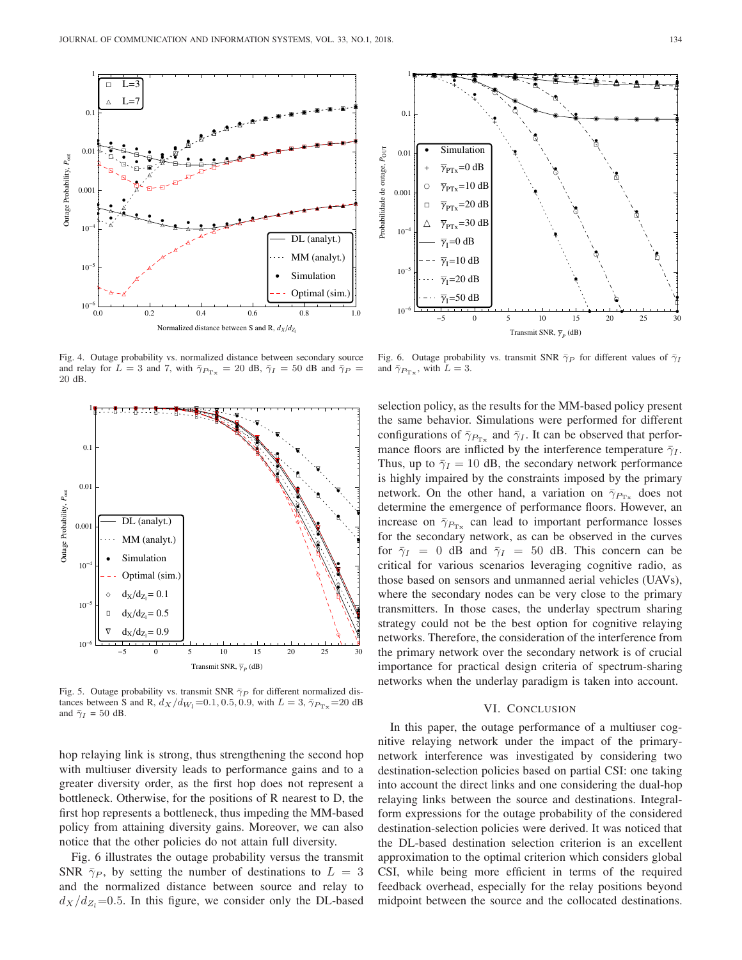

Fig. 4. Outage probability vs. normalized distance between secondary source and relay for  $L = 3$  and 7, with  $\bar{\gamma}_{P_{\text{Tx}}} = 20$  dB,  $\bar{\gamma}_I = 50$  dB and  $\bar{\gamma}_P =$ 20 dB.



Fig. 5. Outage probability vs. transmit SNR  $\bar{\gamma}_P$  for different normalized distances between S and R,  $d_X/d_{W_1}=0.1, 0.5, 0.9$ , with  $L = 3, \bar{\gamma}_{P_{\text{Tx}}}=20 \text{ dB}$ and  $\bar{\gamma}_I = 50$  dB.

hop relaying link is strong, thus strengthening the second hop with multiuser diversity leads to performance gains and to a greater diversity order, as the first hop does not represent a bottleneck. Otherwise, for the positions of R nearest to D, the first hop represents a bottleneck, thus impeding the MM-based policy from attaining diversity gains. Moreover, we can also notice that the other policies do not attain full diversity.

Fig. 6 illustrates the outage probability versus the transmit SNR  $\bar{\gamma}_P$ , by setting the number of destinations to  $L = 3$ and the normalized distance between source and relay to  $d_X/d_{Z_l}=0.5$ . In this figure, we consider only the DL-based



Fig. 6. Outage probability vs. transmit SNR  $\bar{\gamma}_P$  for different values of  $\bar{\gamma}_I$ and  $\bar{\gamma}_{P_{\text{Tx}}}$ , with  $L = 3$ .

selection policy, as the results for the MM-based policy present the same behavior. Simulations were performed for different configurations of  $\bar{\gamma}_{P_{Tx}}$  and  $\bar{\gamma}_I$ . It can be observed that performance floors are inflicted by the interference temperature  $\bar{\gamma}_I$ . Thus, up to  $\bar{\gamma}_I = 10$  dB, the secondary network performance is highly impaired by the constraints imposed by the primary network. On the other hand, a variation on  $\bar{\gamma}_{P_{Tx}}$  does not determine the emergence of performance floors. However, an increase on  $\bar{\gamma}_{P_{Tx}}$  can lead to important performance losses for the secondary network, as can be observed in the curves for  $\bar{\gamma}_I = 0$  dB and  $\bar{\gamma}_I = 50$  dB. This concern can be critical for various scenarios leveraging cognitive radio, as those based on sensors and unmanned aerial vehicles (UAVs), where the secondary nodes can be very close to the primary transmitters. In those cases, the underlay spectrum sharing strategy could not be the best option for cognitive relaying networks. Therefore, the consideration of the interference from the primary network over the secondary network is of crucial importance for practical design criteria of spectrum-sharing networks when the underlay paradigm is taken into account.

# VI. CONCLUSION

In this paper, the outage performance of a multiuser cognitive relaying network under the impact of the primarynetwork interference was investigated by considering two destination-selection policies based on partial CSI: one taking into account the direct links and one considering the dual-hop relaying links between the source and destinations. Integralform expressions for the outage probability of the considered destination-selection policies were derived. It was noticed that the DL-based destination selection criterion is an excellent approximation to the optimal criterion which considers global CSI, while being more efficient in terms of the required feedback overhead, especially for the relay positions beyond midpoint between the source and the collocated destinations.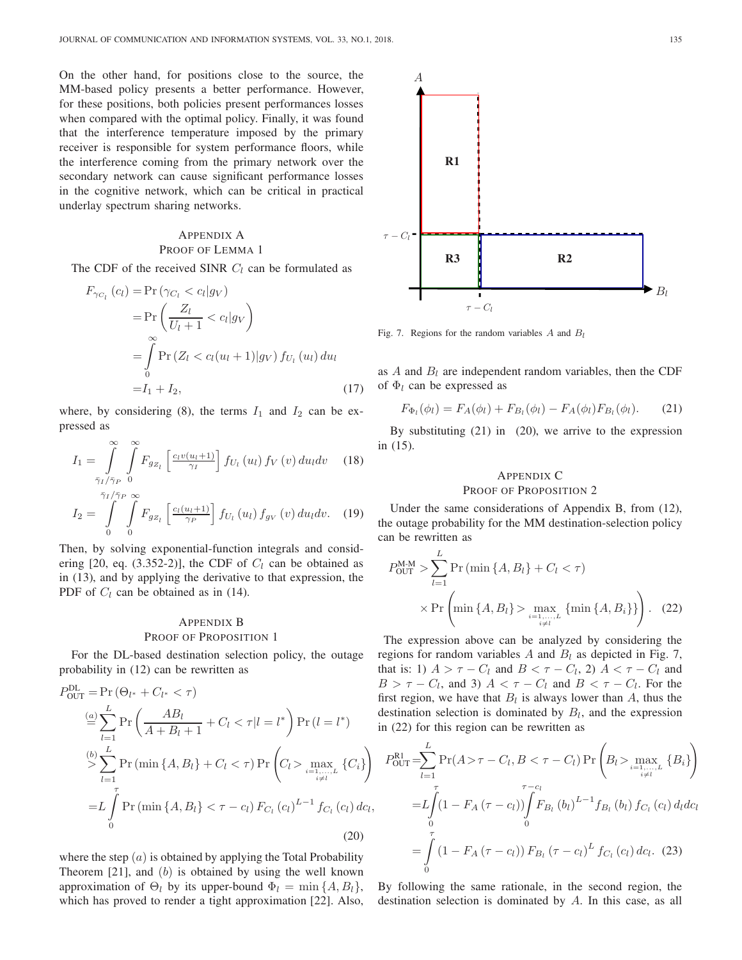On the other hand, for positions close to the source, the MM-based policy presents a better performance. However, for these positions, both policies present performances losses when compared with the optimal policy. Finally, it was found that the interference temperature imposed by the primary receiver is responsible for system performance floors, while the interference coming from the primary network over the secondary network can cause significant performance losses in the cognitive network, which can be critical in practical underlay spectrum sharing networks.

# APPENDIX A PROOF OF LEMMA 1

The CDF of the received SINR  $C_l$  can be formulated as

$$
F_{\gamma_{C_l}}(c_l) = \Pr(\gamma_{C_l} < c_l|g_V) \\
= \Pr\left(\frac{Z_l}{U_l + 1} < c_l|g_V\right) \\
= \int\limits_0^\infty \Pr\left(Z_l < c_l(u_l + 1)|g_V\right) f_{U_l}(u_l) \, du_l \\
= I_1 + I_2,\n\tag{17}
$$

where, by considering (8), the terms  $I_1$  and  $I_2$  can be expressed as

$$
I_{1} = \int_{\bar{\gamma}_{I}}^{\infty} \int_{\bar{\gamma}_{P}}^{\infty} F_{g_{Z_{l}}} \left[ \frac{c_{l}v(u_{l}+1)}{\gamma_{l}} \right] f_{U_{l}}(u_{l}) f_{V}(v) du_{l} dv \quad (18)
$$

$$
I_2 = \int\limits_0^{\bar{\gamma}_I/\bar{\gamma}_P} \int\limits_0^{\infty} F_{g_{Z_l}} \left[ \frac{c_l(u_l+1)}{\gamma_P} \right] f_{U_l}(u_l) f_{g_V}(v) du_l dv. \quad (19)
$$

Then, by solving exponential-function integrals and considering [20, eq. (3.352-2)], the CDF of  $C_l$  can be obtained as in (13), and by applying the derivative to that expression, the PDF of  $C_l$  can be obtained as in (14).

# APPENDIX B PROOF OF PROPOSITION 1

For the DL-based destination selection policy, the outage probability in (12) can be rewritten as

$$
P_{\text{OUT}}^{\text{DL}} = \Pr\left(\Theta_{l^*} + C_{l^*} < \tau\right)
$$
\n
$$
\stackrel{(a)}{=} \sum_{l=1}^{L} \Pr\left(\frac{AB_l}{A + B_l + 1} + C_l < \tau | l = l^*\right) \Pr\left(l = l^*\right)
$$
\n
$$
\stackrel{(b)}{>} \sum_{l=1}^{L} \Pr\left(\min\{A, B_l\} + C_l < \tau\right) \Pr\left(C_l > \max_{i \neq l^*} \{C_i\}\right)
$$
\n
$$
= L \int_{0}^{\tau} \Pr\left(\min\{A, B_l\} < \tau - c_l\right) F_{C_l}\left(c_l\right)^{L-1} f_{C_l}\left(c_l\right) dc_l,
$$
\n
$$
(20)
$$

where the step  $(a)$  is obtained by applying the Total Probability Theorem  $[21]$ , and  $(b)$  is obtained by using the well known approximation of  $\Theta_l$  by its upper-bound  $\Phi_l = \min\{A, B_l\}$ , which has proved to render a tight approximation [22]. Also,



Fig. 7. Regions for the random variables  $A$  and  $B_l$ 

as  $A$  and  $B_l$  are independent random variables, then the CDF of  $\Phi_l$  can be expressed as

$$
F_{\Phi_l}(\phi_l) = F_A(\phi_l) + F_{B_l}(\phi_l) - F_A(\phi_l)F_{B_l}(\phi_l). \tag{21}
$$

By substituting (21) in (20), we arrive to the expression in (15).

# APPENDIX C

PROOF OF PROPOSITION 2

Under the same considerations of Appendix B, from (12), the outage probability for the MM destination-selection policy can be rewritten as

$$
P_{\text{OUT}}^{\text{M-M}} > \sum_{l=1}^{L} \Pr\left(\min\{A, B_{l}\} + C_{l} < \tau\right) \times \Pr\left(\min\{A, B_{l}\} > \max_{i=1, \dots, L} \{\min\{A, B_{i}\}\}\right). \quad (22)
$$

The expression above can be analyzed by considering the regions for random variables  $A$  and  $B_l$  as depicted in Fig. 7, that is: 1)  $A > \tau - C_l$  and  $B < \tau - C_l$ , 2)  $A < \tau - C_l$  and  $B > \tau - C_l$ , and 3)  $A < \tau - C_l$  and  $B < \tau - C_l$ . For the first region, we have that  $B_l$  is always lower than A, thus the destination selection is dominated by  $B_l$ , and the expression in (22) for this region can be rewritten as

$$
P_{\text{OUT}}^{\text{RI}} = \sum_{l=1}^{L} \Pr(A > \tau - C_l, B < \tau - C_l) \Pr\left(B_l > \max_{\substack{i=1,\ldots,L\\i \neq l}} \{B_i\}\right)
$$
  
= 
$$
L \int_{0}^{\tau} (1 - F_A(\tau - c_l)) \int_{0}^{\tau - c_l} F_{B_l}(b_l) L^{-1} f_{B_l}(b_l) f_{C_l}(c_l) d_l dc_l
$$
  
= 
$$
\int_{0}^{\tau} (1 - F_A(\tau - c_l)) F_{B_l}(\tau - c_l)^L f_{C_l}(c_l) dc_l.
$$
 (23)

,

By following the same rationale, in the second region, the destination selection is dominated by A. In this case, as all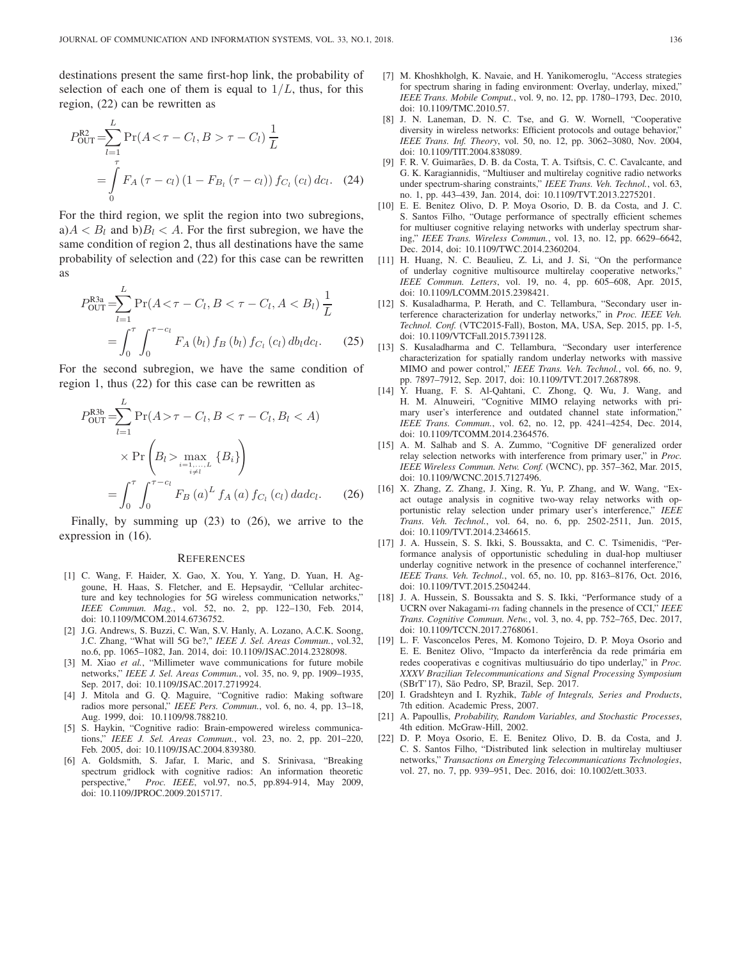destinations present the same first-hop link, the probability of selection of each one of them is equal to  $1/L$ , thus, for this region, (22) can be rewritten as

$$
P_{\text{OUT}}^{\text{R2}} = \sum_{l=1}^{L} \Pr(A < \tau - C_l, B > \tau - C_l) \frac{1}{L}
$$
\n
$$
= \int_{0}^{\tau} F_A \left( \tau - c_l \right) \left( 1 - F_{B_l} \left( \tau - c_l \right) \right) f_{C_l} \left( c_l \right) \, dc_l. \tag{24}
$$

For the third region, we split the region into two subregions,  $a)A < B_l$  and  $b)B_l < A$ . For the first subregion, we have the same condition of region 2, thus all destinations have the same probability of selection and (22) for this case can be rewritten as

$$
P_{\text{OUT}}^{\text{R3a}} = \sum_{l=1}^{L} \Pr(A < \tau - C_l, B < \tau - C_l, A < B_l) \frac{1}{L}
$$
  
= 
$$
\int_0^{\tau} \int_0^{\tau - c_l} F_A(b_l) f_B(b_l) f_{C_l}(c_l) db_l dc_l.
$$
 (25)

For the second subregion, we have the same condition of region 1, thus (22) for this case can be rewritten as

$$
P_{\text{OUT}}^{\text{R3b}} = \sum_{l=1}^{L} \Pr(A > \tau - C_l, B < \tau - C_l, B_l < A)
$$
  
 
$$
\times \Pr\left(B_l > \max_{\substack{i=1,\dots,L \\ i \neq l}} \{B_i\}\right)
$$
  
= 
$$
\int_0^{\tau} \int_0^{\tau - c_l} F_B(a)^L f_A(a) f_{C_l}(c_l) da c_l.
$$
 (26)

Finally, by summing up (23) to (26), we arrive to the expression in (16).

#### **REFERENCES**

- [1] C. Wang, F. Haider, X. Gao, X. You, Y. Yang, D. Yuan, H. Aggoune, H. Haas, S. Fletcher, and E. Hepsaydir, "Cellular architecture and key technologies for 5G wireless communication networks," *IEEE Commun. Mag.*, vol. 52, no. 2, pp. 122–130, Feb. 2014, doi: 10.1109/MCOM.2014.6736752.
- [2] J.G. Andrews, S. Buzzi, C. Wan, S.V. Hanly, A. Lozano, A.C.K. Soong, J.C. Zhang, "What will 5G be?," *IEEE J. Sel. Areas Commun.*, vol.32, no.6, pp. 1065–1082, Jan. 2014, doi: 10.1109/JSAC.2014.2328098.
- [3] M. Xiao *et al.*, "Millimeter wave communications for future mobile networks," *IEEE J. Sel. Areas Commun.*, vol. 35, no. 9, pp. 1909–1935, Sep. 2017, doi: 10.1109/JSAC.2017.2719924.
- [4] J. Mitola and G. Q. Maguire, "Cognitive radio: Making software radios more personal," *IEEE Pers. Commun.*, vol. 6, no. 4, pp. 13–18, Aug. 1999, doi: 10.1109/98.788210.
- [5] S. Haykin, "Cognitive radio: Brain-empowered wireless communications," *IEEE J. Sel. Areas Commun.*, vol. 23, no. 2, pp. 201–220, Feb. 2005, doi: 10.1109/JSAC.2004.839380.
- [6] A. Goldsmith, S. Jafar, I. Maric, and S. Srinivasa, "Breaking spectrum gridlock with cognitive radios: An information theoretic perspective," *Proc. IEEE*, vol.97, no.5, pp.894-914, May 2009, doi: 10.1109/JPROC.2009.2015717.
- [7] M. Khoshkholgh, K. Navaie, and H. Yanikomeroglu, "Access strategies for spectrum sharing in fading environment: Overlay, underlay, mixed," *IEEE Trans. Mobile Comput.*, vol. 9, no. 12, pp. 1780–1793, Dec. 2010, doi: 10.1109/TMC.2010.57.
- [8] J. N. Laneman, D. N. C. Tse, and G. W. Wornell, "Cooperative diversity in wireless networks: Efficient protocols and outage behavior," *IEEE Trans. Inf. Theory*, vol. 50, no. 12, pp. 3062–3080, Nov. 2004, doi: 10.1109/TIT.2004.838089.
- [9] F. R. V. Guimarães, D. B. da Costa, T. A. Tsiftsis, C. C. Cavalcante, and G. K. Karagiannidis, "Multiuser and multirelay cognitive radio networks under spectrum-sharing constraints," *IEEE Trans. Veh. Technol.*, vol. 63, no. 1, pp. 443–439, Jan. 2014, doi: 10.1109/TVT.2013.2275201.
- [10] E. E. Benitez Olivo, D. P. Moya Osorio, D. B. da Costa, and J. C. S. Santos Filho, "Outage performance of spectrally efficient schemes for multiuser cognitive relaying networks with underlay spectrum sharing," *IEEE Trans. Wireless Commun.*, vol. 13, no. 12, pp. 6629–6642, Dec. 2014, doi: 10.1109/TWC.2014.2360204.
- [11] H. Huang, N. C. Beaulieu, Z. Li, and J. Si, "On the performance of underlay cognitive multisource multirelay cooperative networks," *IEEE Commun. Letters*, vol. 19, no. 4, pp. 605–608, Apr. 2015, doi: 10.1109/LCOMM.2015.2398421.
- [12] S. Kusaladharma, P. Herath, and C. Tellambura, "Secondary user interference characterization for underlay networks," in *Proc. IEEE Veh. Technol. Conf.* (VTC2015-Fall), Boston, MA, USA, Sep. 2015, pp. 1-5, doi: 10.1109/VTCFall.2015.7391128.
- [13] S. Kusaladharma and C. Tellambura, "Secondary user interference characterization for spatially random underlay networks with massive MIMO and power control," *IEEE Trans. Veh. Technol.*, vol. 66, no. 9, pp. 7897–7912, Sep. 2017, doi: 10.1109/TVT.2017.2687898.
- [14] Y. Huang, F. S. Al-Qahtani, C. Zhong, Q. Wu, J. Wang, and H. M. Alnuweiri, "Cognitive MIMO relaying networks with primary user's interference and outdated channel state information," *IEEE Trans. Commun.*, vol. 62, no. 12, pp. 4241–4254, Dec. 2014, doi: 10.1109/TCOMM.2014.2364576.
- [15] A. M. Salhab and S. A. Zummo, "Cognitive DF generalized order relay selection networks with interference from primary user," in *Proc. IEEE Wireless Commun. Netw. Conf.* (WCNC), pp. 357–362, Mar. 2015, doi: 10.1109/WCNC.2015.7127496.
- [16] X. Zhang, Z. Zhang, J. Xing, R. Yu, P. Zhang, and W. Wang, "Exact outage analysis in cognitive two-way relay networks with opportunistic relay selection under primary user's interference," *IEEE Trans. Veh. Technol.*, vol. 64, no. 6, pp. 2502-2511, Jun. 2015, doi: 10.1109/TVT.2014.2346615.
- [17] J. A. Hussein, S. S. Ikki, S. Boussakta, and C. C. Tsimenidis, "Performance analysis of opportunistic scheduling in dual-hop multiuser underlay cognitive network in the presence of cochannel interference,' *IEEE Trans. Veh. Technol.*, vol. 65, no. 10, pp. 8163–8176, Oct. 2016, doi: 10.1109/TVT.2015.2504244.
- [18] J. A. Hussein, S. Boussakta and S. S. Ikki, "Performance study of a UCRN over Nakagami-m fading channels in the presence of CCI," *IEEE Trans. Cognitive Commun. Netw.*, vol. 3, no. 4, pp. 752–765, Dec. 2017, doi: 10.1109/TCCN.2017.2768061.
- [19] L. F. Vasconcelos Peres, M. Komono Tojeiro, D. P. Moya Osorio and E. E. Benitez Olivo, "Impacto da interferência da rede primária em redes cooperativas e cognitivas multiusuário do tipo underlay," in *Proc. XXXV Brazilian Telecommunications and Signal Processing Symposium* (SBrT'17), São Pedro, SP, Brazil, Sep. 2017.
- [20] I. Gradshteyn and I. Ryzhik, *Table of Integrals, Series and Products*, 7th edition. Academic Press, 2007.
- [21] A. Papoullis, *Probability, Random Variables, and Stochastic Processes*, 4th edition. McGraw-Hill, 2002.
- [22] D. P. Moya Osorio, E. E. Benitez Olivo, D. B. da Costa, and J. C. S. Santos Filho, "Distributed link selection in multirelay multiuser networks," *Transactions on Emerging Telecommunications Technologies*, vol. 27, no. 7, pp. 939–951, Dec. 2016, doi: 10.1002/ett.3033.